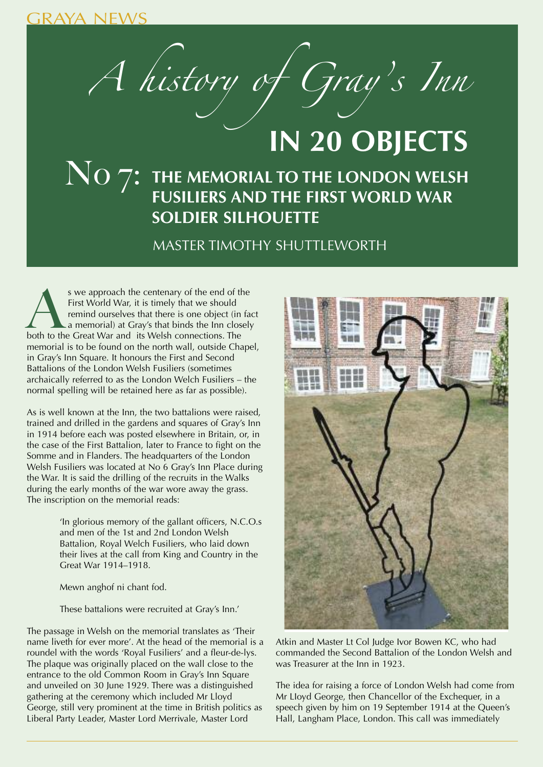GRAYA NEWS

A history of Gray' s Inn

## **IN 20 OBJECTS**

## $\text{NO } 7$ : THE MEMORIAL TO THE LONDON WELSH **FUSILIERS AND THE FIRST WORLD WAR SOLDIER SILHOUETTE**

MASTER TIMOTHY SHUTTLEWORTH

s we approach the centenary of the end of the First World War, it is timely that we should remind ourselves that there is one object (in fact a memorial) at Gray's that binds the Inn closel both to the Great War and its We First World War, it is timely that we should remind ourselves that there is one object (in fact a memorial) at Gray's that binds the Inn closely memorial is to be found on the north wall, outside Chapel, in Gray's Inn Square. It honours the First and Second Battalions of the London Welsh Fusiliers (sometimes archaically referred to as the London Welch Fusiliers – the normal spelling will be retained here as far as possible).

As is well known at the Inn, the two battalions were raised, trained and drilled in the gardens and squares of Gray's Inn in 1914 before each was posted elsewhere in Britain, or, in the case of the First Battalion, later to France to fight on the Somme and in Flanders. The headquarters of the London Welsh Fusiliers was located at No 6 Gray's Inn Place during the War. It is said the drilling of the recruits in the Walks during the early months of the war wore away the grass. The inscription on the memorial reads:

> 'In glorious memory of the gallant officers, N.C.O.s and men of the 1st and 2nd London Welsh Battalion, Royal Welch Fusiliers, who laid down their lives at the call from King and Country in the Great War 1914–1918.

Mewn anghof ni chant fod.

These battalions were recruited at Gray's Inn.'

The passage in Welsh on the memorial translates as 'Their name liveth for ever more'. At the head of the memorial is a roundel with the words 'Royal Fusiliers' and a fleur-de-lys. The plaque was originally placed on the wall close to the entrance to the old Common Room in Gray's Inn Square and unveiled on 30 June 1929. There was a distinguished gathering at the ceremony which included Mr Lloyd George, still very prominent at the time in British politics as Liberal Party Leader, Master Lord Merrivale, Master Lord



Atkin and Master Lt Col Judge Ivor Bowen KC, who had commanded the Second Battalion of the London Welsh and was Treasurer at the Inn in 1923.

The idea for raising a force of London Welsh had come from Mr LIoyd George, then Chancellor of the Exchequer, in a speech given by him on 19 September 1914 at the Queen's Hall, Langham Place, London. This call was immediately